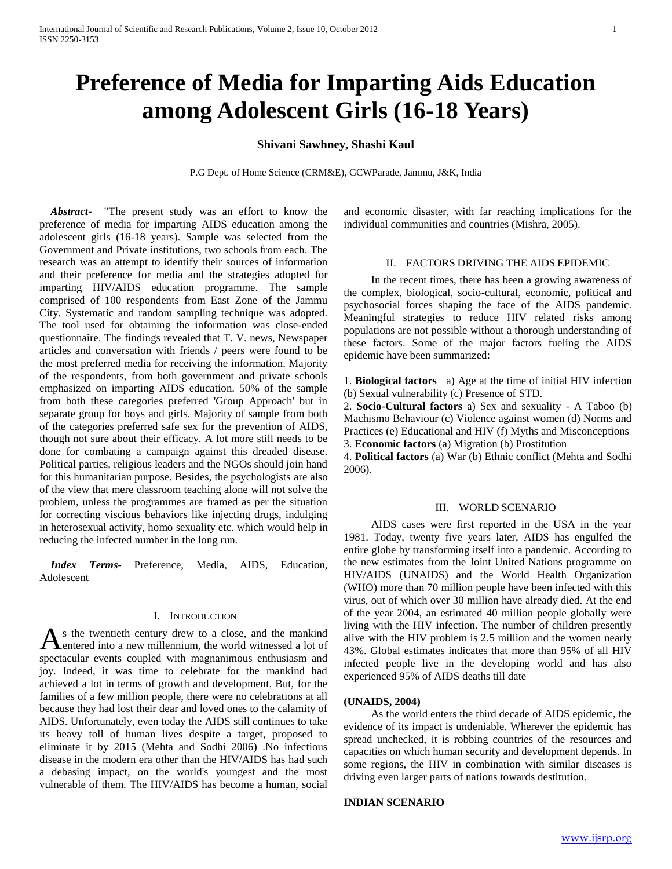# **Preference of Media for Imparting Aids Education among Adolescent Girls (16-18 Years)**

# **Shivani Sawhney, Shashi Kaul**

P.G Dept. of Home Science (CRM&E), GCWParade, Jammu, J&K, India

 *Abstract***-** "The present study was an effort to know the preference of media for imparting AIDS education among the adolescent girls (16-18 years). Sample was selected from the Government and Private institutions, two schools from each. The research was an attempt to identify their sources of information and their preference for media and the strategies adopted for imparting HIV/AIDS education programme. The sample comprised of 100 respondents from East Zone of the Jammu City. Systematic and random sampling technique was adopted. The tool used for obtaining the information was close-ended questionnaire. The findings revealed that T. V. news, Newspaper articles and conversation with friends / peers were found to be the most preferred media for receiving the information. Majority of the respondents, from both government and private schools emphasized on imparting AIDS education. 50% of the sample from both these categories preferred 'Group Approach' but in separate group for boys and girls. Majority of sample from both of the categories preferred safe sex for the prevention of AIDS, though not sure about their efficacy. A lot more still needs to be done for combating a campaign against this dreaded disease. Political parties, religious leaders and the NGOs should join hand for this humanitarian purpose. Besides, the psychologists are also of the view that mere classroom teaching alone will not solve the problem, unless the programmes are framed as per the situation for correcting viscious behaviors like injecting drugs, indulging in heterosexual activity, homo sexuality etc. which would help in reducing the infected number in the long run.

 *Index Terms*- Preference, Media, AIDS, Education, Adolescent

# I. INTRODUCTION

s the twentieth century drew to a close, and the mankind As the twentieth century drew to a close, and the mankind<br> **A** entered into a new millennium, the world witnessed a lot of spectacular events coupled with magnanimous enthusiasm and joy. Indeed, it was time to celebrate for the mankind had achieved a lot in terms of growth and development. But, for the families of a few million people, there were no celebrations at all because they had lost their dear and loved ones to the calamity of AIDS. Unfortunately, even today the AIDS still continues to take its heavy toll of human lives despite a target, proposed to eliminate it by 2015 (Mehta and Sodhi 2006) .No infectious disease in the modern era other than the HIV/AIDS has had such a debasing impact, on the world's youngest and the most vulnerable of them. The HIV/AIDS has become a human, social

and economic disaster, with far reaching implications for the individual communities and countries (Mishra, 2005).

### II. FACTORS DRIVING THE AIDS EPIDEMIC

 In the recent times, there has been a growing awareness of the complex, biological, socio-cultural, economic, political and psychosocial forces shaping the face of the AIDS pandemic. Meaningful strategies to reduce HIV related risks among populations are not possible without a thorough understanding of these factors. Some of the major factors fueling the AIDS epidemic have been summarized:

1. **Biological factors** a) Age at the time of initial HIV infection (b) Sexual vulnerability (c) Presence of STD.

2. **Socio-Cultural factors** a) Sex and sexuality - A Taboo (b) Machismo Behaviour (c) Violence against women (d) Norms and Practices (e) Educational and HIV (f) Myths and Misconceptions

3. **Economic factors** (a) Migration (b) Prostitution

4. **Political factors** (a) War (b) Ethnic conflict (Mehta and Sodhi 2006).

# III. WORLD SCENARIO

 AIDS cases were first reported in the USA in the year 1981. Today, twenty five years later, AIDS has engulfed the entire globe by transforming itself into a pandemic. According to the new estimates from the Joint United Nations programme on HIV/AIDS (UNAIDS) and the World Health Organization (WHO) more than 70 million people have been infected with this virus, out of which over 30 million have already died. At the end of the year 2004, an estimated 40 million people globally were living with the HIV infection. The number of children presently alive with the HIV problem is 2.5 million and the women nearly 43%. Global estimates indicates that more than 95% of all HIV infected people live in the developing world and has also experienced 95% of AIDS deaths till date

#### **(UNAIDS, 2004)**

 As the world enters the third decade of AIDS epidemic, the evidence of its impact is undeniable. Wherever the epidemic has spread unchecked, it is robbing countries of the resources and capacities on which human security and development depends. In some regions, the HIV in combination with similar diseases is driving even larger parts of nations towards destitution.

## **INDIAN SCENARIO**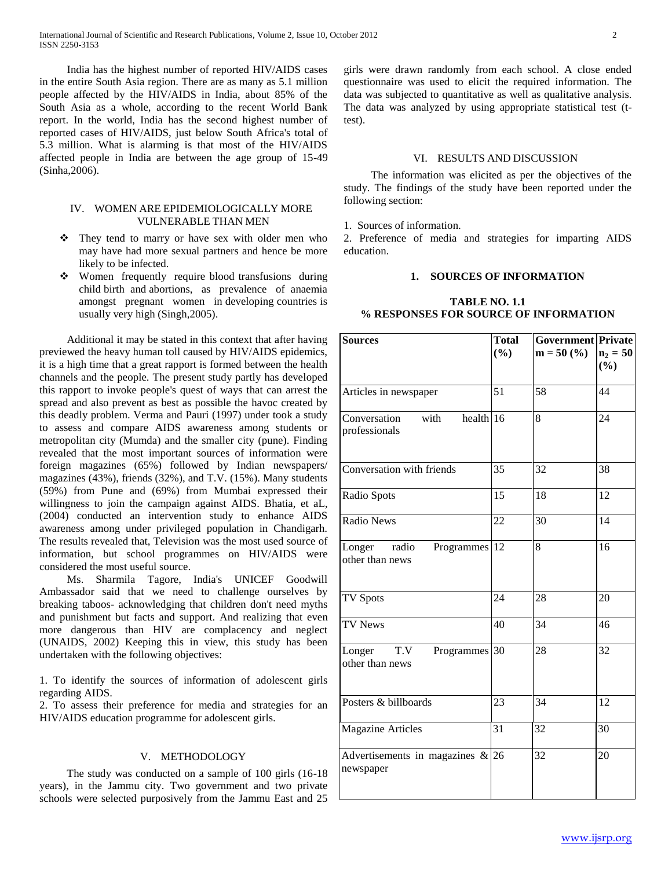India has the highest number of reported HIV/AIDS cases in the entire South Asia region. There are as many as 5.1 million people affected by the HIV/AIDS in India, about 85% of the South Asia as a whole, according to the recent World Bank report. In the world, India has the second highest number of reported cases of HIV/AIDS, just below South Africa's total of 5.3 million. What is alarming is that most of the HIV/AIDS affected people in India are between the age group of 15-49 (Sinha,2006).

# IV. WOMEN ARE EPIDEMIOLOGICALLY MORE VULNERABLE THAN MEN

- \* They tend to marry or have sex with older men who may have had more sexual partners and hence be more likely to be infected.
- Women frequently require blood transfusions during child birth and abortions, as prevalence of anaemia amongst pregnant women in developing countries is usually very high (Singh,2005).

 Additional it may be stated in this context that after having previewed the heavy human toll caused by HIV/AIDS epidemics, it is a high time that a great rapport is formed between the health channels and the people. The present study partly has developed this rapport to invoke people's quest of ways that can arrest the spread and also prevent as best as possible the havoc created by this deadly problem. Verma and Pauri (1997) under took a study to assess and compare AIDS awareness among students or metropolitan city (Mumda) and the smaller city (pune). Finding revealed that the most important sources of information were foreign magazines (65%) followed by Indian newspapers/ magazines (43%), friends (32%), and T.V. (15%). Many students (59%) from Pune and (69%) from Mumbai expressed their willingness to join the campaign against AIDS. Bhatia, et aL, (2004) conducted an intervention study to enhance AIDS awareness among under privileged population in Chandigarh. The results revealed that, Television was the most used source of information, but school programmes on HIV/AIDS were considered the most useful source.

 Ms. Sharmila Tagore, India's UNICEF Goodwill Ambassador said that we need to challenge ourselves by breaking taboos- acknowledging that children don't need myths and punishment but facts and support. And realizing that even more dangerous than HIV are complacency and neglect (UNAIDS, 2002) Keeping this in view, this study has been undertaken with the following objectives:

1. To identify the sources of information of adolescent girls regarding AIDS.

2. To assess their preference for media and strategies for an HIV/AIDS education programme for adolescent girls.

## V. METHODOLOGY

 The study was conducted on a sample of 100 girls (16-18 years), in the Jammu city. Two government and two private schools were selected purposively from the Jammu East and 25 girls were drawn randomly from each school. A close ended questionnaire was used to elicit the required information. The data was subjected to quantitative as well as qualitative analysis. The data was analyzed by using appropriate statistical test (ttest).

## VI. RESULTS AND DISCUSSION

 The information was elicited as per the objectives of the study. The findings of the study have been reported under the following section:

1. Sources of information.

2. Preference of media and strategies for imparting AIDS education.

# **1. SOURCES OF INFORMATION**

# **TABLE NO. 1.1 % RESPONSES FOR SOURCE OF INFORMATION**

| <b>Sources</b>                                     | <b>Total</b> | <b>Government</b> Private |            |
|----------------------------------------------------|--------------|---------------------------|------------|
|                                                    | (%)          | $m = 50$ (%)              | $n_2 = 50$ |
|                                                    |              |                           | (%)        |
| Articles in newspaper                              | 51           | 58                        | 44         |
| health 16<br>with<br>Conversation<br>professionals |              | 8                         | 24         |
| Conversation with friends                          | 35           | 32                        | 38         |
| Radio Spots                                        | 15           | 18                        | 12         |
| <b>Radio News</b>                                  | 22           | 30                        | 14         |
| Longer<br>radio<br>Programmes<br>other than news   | 12           | 8                         | 16         |
| <b>TV Spots</b>                                    | 24           | 28                        | 20         |
| <b>TV News</b>                                     | 40           | 34                        | 46         |
| T.V<br>Longer<br>Programmes<br>other than news     | 30           | 28                        | 32         |
| Posters & billboards                               | 23           | 34                        | 12         |
| <b>Magazine Articles</b>                           | 31           | 32                        | 30         |
| Advertisements in magazines $\&$ 26<br>newspaper   |              | 32                        | 20         |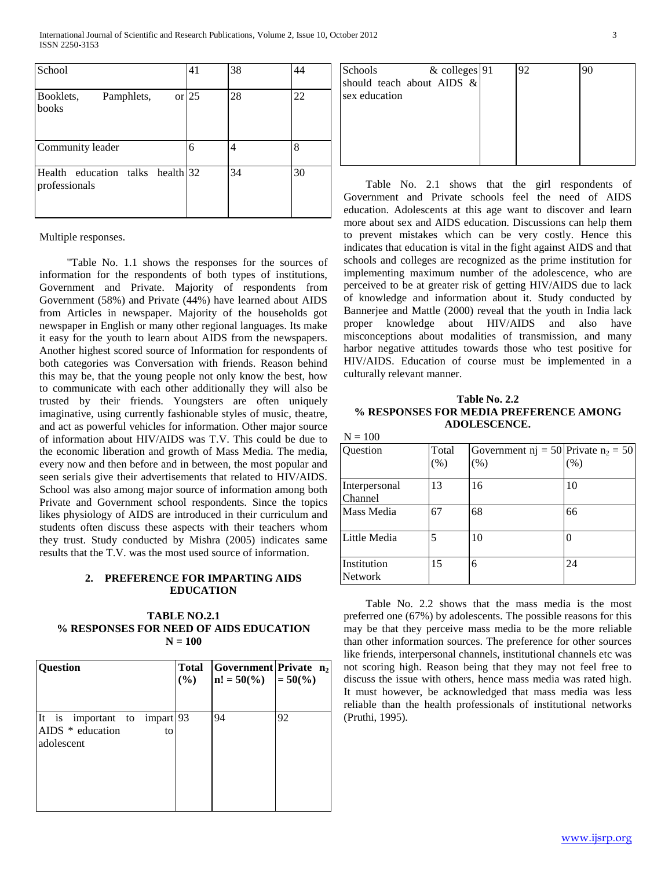International Journal of Scientific and Research Publications, Volume 2, Issue 10, October 2012 3 ISSN 2250-3153

| School                                            | 41      | 38 | 44 |
|---------------------------------------------------|---------|----|----|
| Booklets,<br>Pamphlets,<br>books                  | or $25$ | 28 | 22 |
| Community leader                                  | 6       | 4  | 8  |
| Health education talks health 32<br>professionals |         | 34 | 30 |

Multiple responses.

 "Table No. 1.1 shows the responses for the sources of information for the respondents of both types of institutions, Government and Private. Majority of respondents from Government (58%) and Private (44%) have learned about AIDS from Articles in newspaper. Majority of the households got newspaper in English or many other regional languages. Its make it easy for the youth to learn about AIDS from the newspapers. Another highest scored source of Information for respondents of both categories was Conversation with friends. Reason behind this may be, that the young people not only know the best, how to communicate with each other additionally they will also be trusted by their friends. Youngsters are often uniquely imaginative, using currently fashionable styles of music, theatre, and act as powerful vehicles for information. Other major source of information about HIV/AIDS was T.V. This could be due to the economic liberation and growth of Mass Media. The media, every now and then before and in between, the most popular and seen serials give their advertisements that related to HIV/AIDS. School was also among major source of information among both Private and Government school respondents. Since the topics likes physiology of AIDS are introduced in their curriculum and students often discuss these aspects with their teachers whom they trust. Study conducted by Mishra (2005) indicates same results that the T.V. was the most used source of information.

# **2. PREFERENCE FOR IMPARTING AIDS EDUCATION**

## **TABLE NO.2.1 % RESPONSES FOR NEED OF AIDS EDUCATION N = 100**

| Question                                                                   | <b>Total</b><br>(%) | Government Private n <sub>2</sub><br>$\ln! = 50\frac{\%}{\ } = 50\frac{\%}{\ }$ |    |
|----------------------------------------------------------------------------|---------------------|---------------------------------------------------------------------------------|----|
| It is important to impart $ 93 $<br>AIDS $*$ education<br>to<br>adolescent |                     | 94                                                                              | 92 |

| <b>Schools</b><br>sex education | & colleges 91<br>should teach about AIDS $\&$ | 92 |  |
|---------------------------------|-----------------------------------------------|----|--|
|                                 |                                               |    |  |
|                                 |                                               |    |  |

 Table No. 2.1 shows that the girl respondents of Government and Private schools feel the need of AIDS education. Adolescents at this age want to discover and learn more about sex and AIDS education. Discussions can help them to prevent mistakes which can be very costly. Hence this indicates that education is vital in the fight against AIDS and that schools and colleges are recognized as the prime institution for implementing maximum number of the adolescence, who are perceived to be at greater risk of getting HIV/AIDS due to lack of knowledge and information about it. Study conducted by Bannerjee and Mattle (2000) reveal that the youth in India lack proper knowledge about HIV/AIDS and also have misconceptions about modalities of transmission, and many harbor negative attitudes towards those who test positive for HIV/AIDS. Education of course must be implemented in a culturally relevant manner.

## **Table No. 2.2 % RESPONSES FOR MEDIA PREFERENCE AMONG ADOLESCENCE.**

| × | ×<br>۰,<br>۰. |
|---|---------------|
|---|---------------|

| Question                      | Total<br>(% )            | Government nj = 50 Private n <sub>2</sub> = 50<br>(%) | (%) |
|-------------------------------|--------------------------|-------------------------------------------------------|-----|
| Interpersonal<br>Channel      | 13                       | 16                                                    | 10  |
| Mass Media                    | 67                       | 68                                                    | 66  |
| Little Media                  | $\overline{\mathcal{L}}$ | 10                                                    | 0   |
| Institution<br><b>Network</b> | 15                       | 6                                                     | 24  |

 Table No. 2.2 shows that the mass media is the most preferred one (67%) by adolescents. The possible reasons for this may be that they perceive mass media to be the more reliable than other information sources. The preference for other sources like friends, interpersonal channels, institutional channels etc was not scoring high. Reason being that they may not feel free to discuss the issue with others, hence mass media was rated high. It must however, be acknowledged that mass media was less reliable than the health professionals of institutional networks (Pruthi, 1995).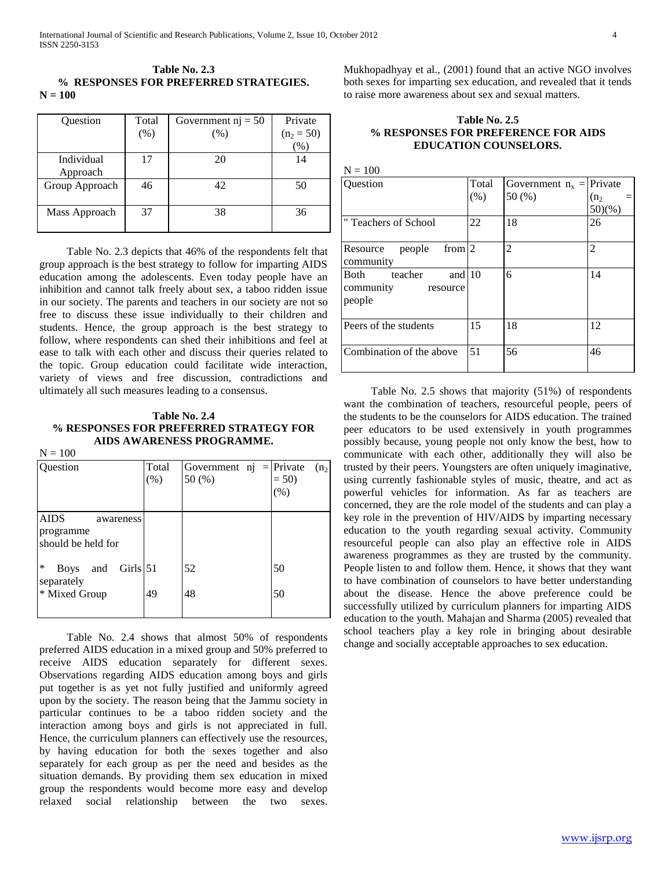## **Table No. 2.3 % RESPONSES FOR PREFERRED STRATEGIES. N = 100**

| Question       | Total | Government $nj = 50$ | Private      |
|----------------|-------|----------------------|--------------|
|                | (% )  | (% )                 | $(n_2 = 50)$ |
|                |       |                      | $\%$         |
| Individual     | 17    | 20                   | 14           |
| Approach       |       |                      |              |
| Group Approach | 46    | 42                   | 50           |
|                |       |                      |              |
| Mass Approach  | 37    | 38                   | 36           |
|                |       |                      |              |

 Table No. 2.3 depicts that 46% of the respondents felt that group approach is the best strategy to follow for imparting AIDS education among the adolescents. Even today people have an inhibition and cannot talk freely about sex, a taboo ridden issue in our society. The parents and teachers in our society are not so free to discuss these issue individually to their children and students. Hence, the group approach is the best strategy to follow, where respondents can shed their inhibitions and feel at ease to talk with each other and discuss their queries related to the topic. Group education could facilitate wide interaction, variety of views and free discussion, contradictions and ultimately all such measures leading to a consensus.

# **Table No. 2.4 % RESPONSES FOR PREFERRED STRATEGY FOR AIDS AWARENESS PROGRAMME.**

 $N = 100$ 

| Question                                                    | Total<br>(% ) | Government $nj = Private$<br>50 (%) | (n <sub>2</sub> )<br>$= 50$<br>(%) |
|-------------------------------------------------------------|---------------|-------------------------------------|------------------------------------|
| <b>AIDS</b><br>awareness<br>programme<br>should be held for |               |                                     |                                    |
| $\ast$<br>Girls $ 51$<br>and<br><b>Boys</b><br>separately   |               | 52                                  | 50                                 |
| * Mixed Group                                               | 49            | 48                                  | 50                                 |

 Table No. 2.4 shows that almost 50% of respondents preferred AIDS education in a mixed group and 50% preferred to receive AIDS education separately for different sexes. Observations regarding AIDS education among boys and girls put together is as yet not fully justified and uniformly agreed upon by the society. The reason being that the Jammu society in particular continues to be a taboo ridden society and the interaction among boys and girls is not appreciated in full. Hence, the curriculum planners can effectively use the resources, by having education for both the sexes together and also separately for each group as per the need and besides as the situation demands. By providing them sex education in mixed group the respondents would become more easy and develop relaxed social relationship between the two sexes.

Mukhopadhyay et al., (2001) found that an active NGO involves both sexes for imparting sex education, and revealed that it tends to raise more awareness about sex and sexual matters.

# **Table No. 2.5 % RESPONSES FOR PREFERENCE FOR AIDS EDUCATION COUNSELORS.**

| $N = 100$                                                      |               |                                        |                  |
|----------------------------------------------------------------|---------------|----------------------------------------|------------------|
| Question                                                       | Total<br>(% ) | Government $n_x =  $ Private<br>50 (%) | $(n_2)$<br>50)(% |
| "Teachers of School                                            | 22            | 18                                     | 26               |
| from $ 2$<br>people<br>Resource<br>community                   |               | $\overline{2}$                         | $\overline{c}$   |
| and $10$<br>teacher<br>Both<br>community<br>resource<br>people |               | 6                                      | 14               |
| Peers of the students                                          | 15            | 18                                     | 12               |
| Combination of the above                                       | 51            | 56                                     | 46               |

 Table No. 2.5 shows that majority (51%) of respondents want the combination of teachers, resourceful people, peers of the students to be the counselors for AIDS education. The trained peer educators to be used extensively in youth programmes possibly because, young people not only know the best, how to communicate with each other, additionally they will also be trusted by their peers. Youngsters are often uniquely imaginative, using currently fashionable styles of music, theatre, and act as powerful vehicles for information. As far as teachers are concerned, they are the role model of the students and can play a key role in the prevention of HIV/AIDS by imparting necessary education to the youth regarding sexual activity. Community resourceful people can also play an effective role in AIDS awareness programmes as they are trusted by the community. People listen to and follow them. Hence, it shows that they want to have combination of counselors to have better understanding about the disease. Hence the above preference could be successfully utilized by curriculum planners for imparting AIDS education to the youth. Mahajan and Sharma (2005) revealed that school teachers play a key role in bringing about desirable change and socially acceptable approaches to sex education.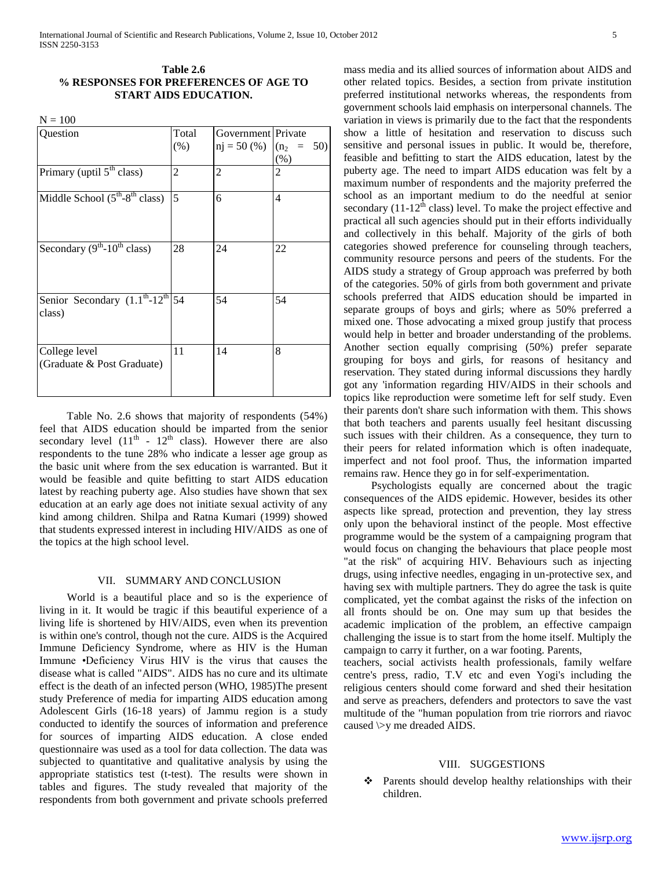## **Table 2.6 % RESPONSES FOR PREFERENCES OF AGE TO START AIDS EDUCATION.**

 $N = 100$ 

| Question                                                                         | Total<br>$(\% )$ | Government Private<br>$nj = 50$ (%) | $(n_2 =$<br>50)<br>(% ) |
|----------------------------------------------------------------------------------|------------------|-------------------------------------|-------------------------|
| Primary (uptil 5 <sup>th</sup> class)                                            | 2                | 2                                   | 2                       |
| Middle School $(5th-8th$ class)                                                  | 5                | 6                                   | 4                       |
| Secondary $(9^{th} - 10^{th}$ class)                                             | 28               | 24                                  | 22                      |
| Senior Secondary $(1.\overline{1^{th}}-12^{th} \overline{\smash{54}})$<br>class) |                  | 54                                  | 54                      |
| College level<br>(Graduate & Post Graduate)                                      | 11               | 14                                  | 8                       |

 Table No. 2.6 shows that majority of respondents (54%) feel that AIDS education should be imparted from the senior secondary level  $(11<sup>th</sup> - 12<sup>th</sup>$  class). However there are also respondents to the tune 28% who indicate a lesser age group as the basic unit where from the sex education is warranted. But it would be feasible and quite befitting to start AIDS education latest by reaching puberty age. Also studies have shown that sex education at an early age does not initiate sexual activity of any kind among children. Shilpa and Ratna Kumari (1999) showed that students expressed interest in including HIV/AIDS as one of the topics at the high school level.

#### VII. SUMMARY AND CONCLUSION

 World is a beautiful place and so is the experience of living in it. It would be tragic if this beautiful experience of a living life is shortened by HIV/AIDS, even when its prevention is within one's control, though not the cure. AIDS is the Acquired Immune Deficiency Syndrome, where as HIV is the Human Immune •Deficiency Virus HIV is the virus that causes the disease what is called "AIDS". AIDS has no cure and its ultimate effect is the death of an infected person (WHO, 1985)The present study Preference of media for imparting AIDS education among Adolescent Girls (16-18 years) of Jammu region is a study conducted to identify the sources of information and preference for sources of imparting AIDS education. A close ended questionnaire was used as a tool for data collection. The data was subjected to quantitative and qualitative analysis by using the appropriate statistics test (t-test). The results were shown in tables and figures. The study revealed that majority of the respondents from both government and private schools preferred mass media and its allied sources of information about AIDS and other related topics. Besides, a section from private institution preferred institutional networks whereas, the respondents from government schools laid emphasis on interpersonal channels. The variation in views is primarily due to the fact that the respondents show a little of hesitation and reservation to discuss such sensitive and personal issues in public. It would be, therefore, feasible and befitting to start the AIDS education, latest by the puberty age. The need to impart AIDS education was felt by a maximum number of respondents and the majority preferred the school as an important medium to do the needful at senior secondary  $(11-12<sup>th</sup>$  class) level. To make the project effective and practical all such agencies should put in their efforts individually and collectively in this behalf. Majority of the girls of both categories showed preference for counseling through teachers, community resource persons and peers of the students. For the AIDS study a strategy of Group approach was preferred by both of the categories. 50% of girls from both government and private schools preferred that AIDS education should be imparted in separate groups of boys and girls; where as 50% preferred a mixed one. Those advocating a mixed group justify that process would help in better and broader understanding of the problems. Another section equally comprising (50%) prefer separate grouping for boys and girls, for reasons of hesitancy and reservation. They stated during informal discussions they hardly got any 'information regarding HIV/AIDS in their schools and topics like reproduction were sometime left for self study. Even their parents don't share such information with them. This shows that both teachers and parents usually feel hesitant discussing such issues with their children. As a consequence, they turn to their peers for related information which is often inadequate, imperfect and not fool proof. Thus, the information imparted remains raw. Hence they go in for self-experimentation.

 Psychologists equally are concerned about the tragic consequences of the AIDS epidemic. However, besides its other aspects like spread, protection and prevention, they lay stress only upon the behavioral instinct of the people. Most effective programme would be the system of a campaigning program that would focus on changing the behaviours that place people most "at the risk" of acquiring HIV. Behaviours such as injecting drugs, using infective needles, engaging in un-protective sex, and having sex with multiple partners. They do agree the task is quite complicated, yet the combat against the risks of the infection on all fronts should be on. One may sum up that besides the academic implication of the problem, an effective campaign challenging the issue is to start from the home itself. Multiply the campaign to carry it further, on a war footing. Parents,

teachers, social activists health professionals, family welfare centre's press, radio, T.V etc and even Yogi's including the religious centers should come forward and shed their hesitation and serve as preachers, defenders and protectors to save the vast multitude of the "human population from trie riorrors and riavoc caused \>y me dreaded AIDS.

#### VIII. SUGGESTIONS

❖ Parents should develop healthy relationships with their children.